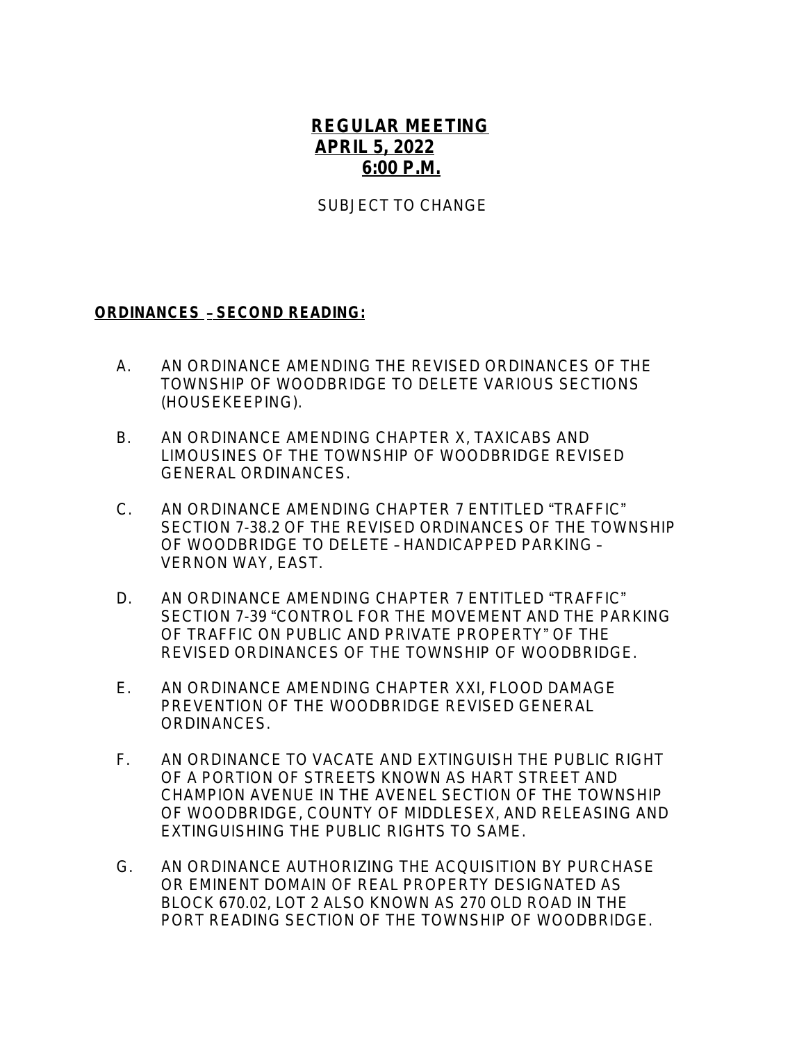## **REGULAR MEETING APRIL 5, 2022 6:00 P.M.**

SUBJECT TO CHANGE

## **ORDINANCES** – **SECOND READING:**

- A.AN ORDINANCE AMENDING THE REVISED ORDINANCES OF THE TOWNSHIP OF WOODBRIDGE TO DELETE VARIOUS SECTIONS (HOUSEKEEPING).
- B. AN ORDINANCE AMENDING CHAPTER X, TAXICABS AND LIMOUSINES OF THE TOWNSHIP OF WOODBRIDGE REVISED GENERAL ORDINANCES.
- C. AN ORDINANCE AMENDING CHAPTER 7 ENTITLED "TRAFFIC" SECTION 7-38.2 OF THE REVISED ORDINANCES OF THE TOWNSHIP OF WOODBRIDGE TO DELETE – HANDICAPPED PARKING – VERNON WAY, EAST.
- D. AN ORDINANCE AMENDING CHAPTER 7 ENTITLED "TRAFFIC" SECTION 7-39 "CONTROL FOR THE MOVEMENT AND THE PARKING OF TRAFFIC ON PUBLIC AND PRIVATE PROPERTY" OF THE REVISED ORDINANCES OF THE TOWNSHIP OF WOODBRIDGE.
- E. AN ORDINANCE AMENDING CHAPTER XXI, FLOOD DAMAGE PREVENTION OF THE WOODBRIDGE REVISED GENERAL ORDINANCES.
- F. AN ORDINANCE TO VACATE AND EXTINGUISH THE PUBLIC RIGHT OF A PORTION OF STREETS KNOWN AS HART STREET AND CHAMPION AVENUE IN THE AVENEL SECTION OF THE TOWNSHIP OF WOODBRIDGE, COUNTY OF MIDDLESEX, AND RELEASING AND EXTINGUISHING THE PUBLIC RIGHTS TO SAME.
- G. AN ORDINANCE AUTHORIZING THE ACQUISITION BY PURCHASE OR EMINENT DOMAIN OF REAL PROPERTY DESIGNATED AS BLOCK 670.02, LOT 2 ALSO KNOWN AS 270 OLD ROAD IN THE PORT READING SECTION OF THE TOWNSHIP OF WOODBRIDGE.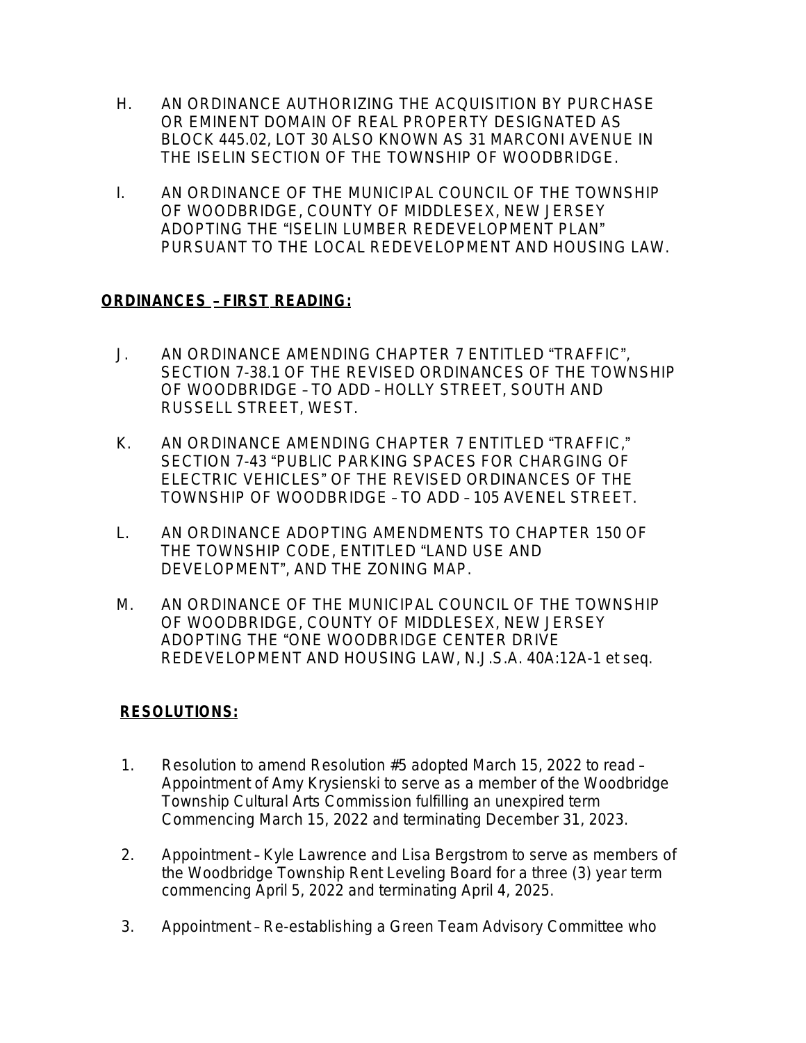- H. AN ORDINANCE AUTHORIZING THE ACQUISITION BY PURCHASE OR EMINENT DOMAIN OF REAL PROPERTY DESIGNATED AS BLOCK 445.02, LOT 30 ALSO KNOWN AS 31 MARCONI AVENUE IN THE ISELIN SECTION OF THE TOWNSHIP OF WOODBRIDGE.
- I. AN ORDINANCE OF THE MUNICIPAL COUNCIL OF THE TOWNSHIP OF WOODBRIDGE, COUNTY OF MIDDLESEX, NEW JERSEY ADOPTING THE "ISELIN LUMBER REDEVELOPMENT PLAN" PURSUANT TO THE LOCAL REDEVELOPMENT AND HOUSING LAW.

## **ORDINANCES** – **FIRST READING:**

- J. AN ORDINANCE AMENDING CHAPTER 7 ENTITLED "TRAFFIC", SECTION 7-38.1 OF THE REVISED ORDINANCES OF THE TOWNSHIP OF WOODBRIDGE – TO ADD – HOLLY STREET, SOUTH AND RUSSELL STREET, WEST.
- K. AN ORDINANCE AMENDING CHAPTER 7 ENTITLED "TRAFFIC," SECTION 7-43 "PUBLIC PARKING SPACES FOR CHARGING OF ELECTRIC VEHICLES" OF THE REVISED ORDINANCES OF THE TOWNSHIP OF WOODBRIDGE – TO ADD – 105 AVENEL STREET.
- L. AN ORDINANCE ADOPTING AMENDMENTS TO CHAPTER 150 OF THE TOWNSHIP CODE, ENTITLED "LAND USE AND DEVELOPMENT", AND THE ZONING MAP.
- M. AN ORDINANCE OF THE MUNICIPAL COUNCIL OF THE TOWNSHIP OF WOODBRIDGE, COUNTY OF MIDDLESEX, NEW JERSEY ADOPTING THE "ONE WOODBRIDGE CENTER DRIVE REDEVELOPMENT AND HOUSING LAW, *N.J.S.A.* 40A:12A-1 *et seq.*

## **RESOLUTIONS:**

- 1. Resolution to amend Resolution #5 adopted March 15, 2022 to read Appointment of Amy Krysienski to serve as a member of the Woodbridge Township Cultural Arts Commission fulfilling an unexpired term Commencing March 15, 2022 and terminating December 31, 2023.
- 2. Appointment Kyle Lawrence and Lisa Bergstrom to serve as members of the Woodbridge Township Rent Leveling Board for a three (3) year term commencing April 5, 2022 and terminating April 4, 2025.
- 3. Appointment Re-establishing a Green Team Advisory Committee who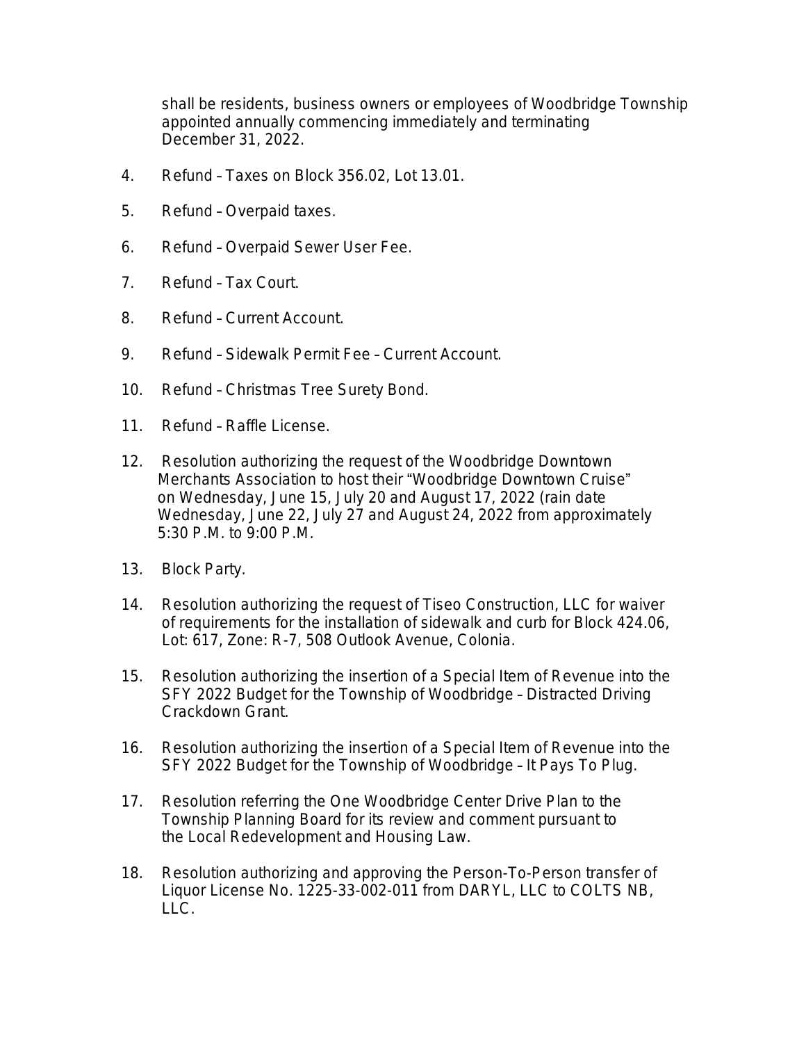shall be residents, business owners or employees of Woodbridge Township appointed annually commencing immediately and terminating December 31, 2022.

- 4. Refund Taxes on Block 356.02, Lot 13.01.
- 5. Refund Overpaid taxes.
- 6. Refund Overpaid Sewer User Fee.
- 7. Refund Tax Court.
- 8. Refund Current Account.
- 9. Refund Sidewalk Permit Fee Current Account.
- 10. Refund Christmas Tree Surety Bond.
- 11. Refund Raffle License.
- 12. Resolution authorizing the request of the Woodbridge Downtown Merchants Association to host their "Woodbridge Downtown Cruise" on Wednesday, June 15, July 20 and August 17, 2022 (rain date Wednesday, June 22, July 27 and August 24, 2022 from approximately 5:30 P.M. to 9:00 P.M.
- 13. Block Party.
- 14. Resolution authorizing the request of Tiseo Construction, LLC for waiver of requirements for the installation of sidewalk and curb for Block 424.06, Lot: 617, Zone: R-7, 508 Outlook Avenue, Colonia.
- 15. Resolution authorizing the insertion of a Special Item of Revenue into the SFY 2022 Budget for the Township of Woodbridge – Distracted Driving Crackdown Grant.
- 16. Resolution authorizing the insertion of a Special Item of Revenue into the SFY 2022 Budget for the Township of Woodbridge – It Pays To Plug.
- 17. Resolution referring the One Woodbridge Center Drive Plan to the Township Planning Board for its review and comment pursuant to the Local Redevelopment and Housing Law.
- 18. Resolution authorizing and approving the Person-To-Person transfer of Liquor License No. 1225-33-002-011 from DARYL, LLC to COLTS NB, LLC.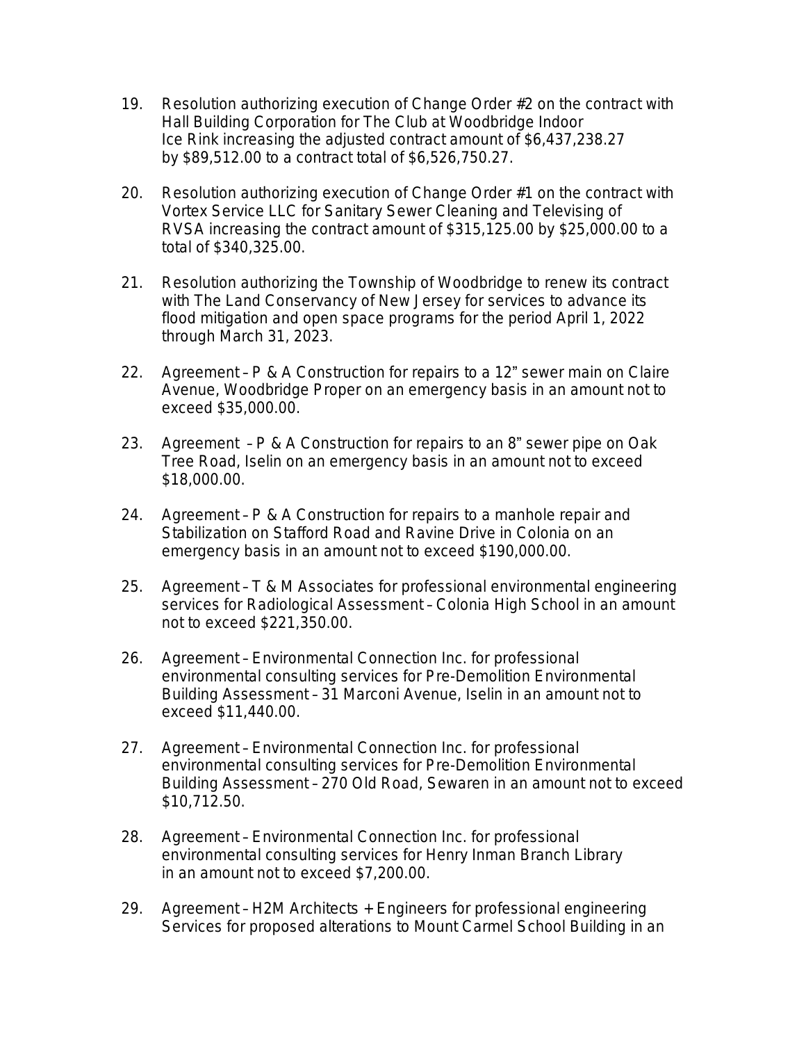- 19. Resolution authorizing execution of Change Order #2 on the contract with Hall Building Corporation for The Club at Woodbridge Indoor Ice Rink increasing the adjusted contract amount of \$6,437,238.27 by \$89,512.00 to a contract total of \$6,526,750.27.
- 20. Resolution authorizing execution of Change Order #1 on the contract with Vortex Service LLC for Sanitary Sewer Cleaning and Televising of RVSA increasing the contract amount of \$315,125.00 by \$25,000.00 to a total of \$340,325.00.
- 21. Resolution authorizing the Township of Woodbridge to renew its contract with *The Land Conservancy of New Jersey* for services to advance its flood mitigation and open space programs for the period April 1, 2022 through March 31, 2023.
- 22. Agreement P & A Construction for repairs to a 12" sewer main on Claire Avenue, Woodbridge Proper on an emergency basis in an amount not to exceed \$35,000.00.
- 23. Agreement P & A Construction for repairs to an 8" sewer pipe on Oak Tree Road, Iselin on an emergency basis in an amount not to exceed \$18,000.00.
- 24. Agreement P & A Construction for repairs to a manhole repair and Stabilization on Stafford Road and Ravine Drive in Colonia on an emergency basis in an amount not to exceed \$190,000.00.
- 25. Agreement T & M Associates for professional environmental engineering services for Radiological Assessment – Colonia High School in an amount not to exceed \$221,350.00.
- 26. Agreement Environmental Connection Inc. for professional environmental consulting services for Pre-Demolition Environmental Building Assessment – 31 Marconi Avenue, Iselin in an amount not to exceed \$11,440.00.
- 27. Agreement Environmental Connection Inc. for professional environmental consulting services for Pre-Demolition Environmental Building Assessment – 270 Old Road, Sewaren in an amount not to exceed \$10,712.50.
- 28. Agreement Environmental Connection Inc. for professional environmental consulting services for Henry Inman Branch Library in an amount not to exceed \$7,200.00.
- 29. Agreement H2M Architects + Engineers for professional engineering Services for proposed alterations to Mount Carmel School Building in an